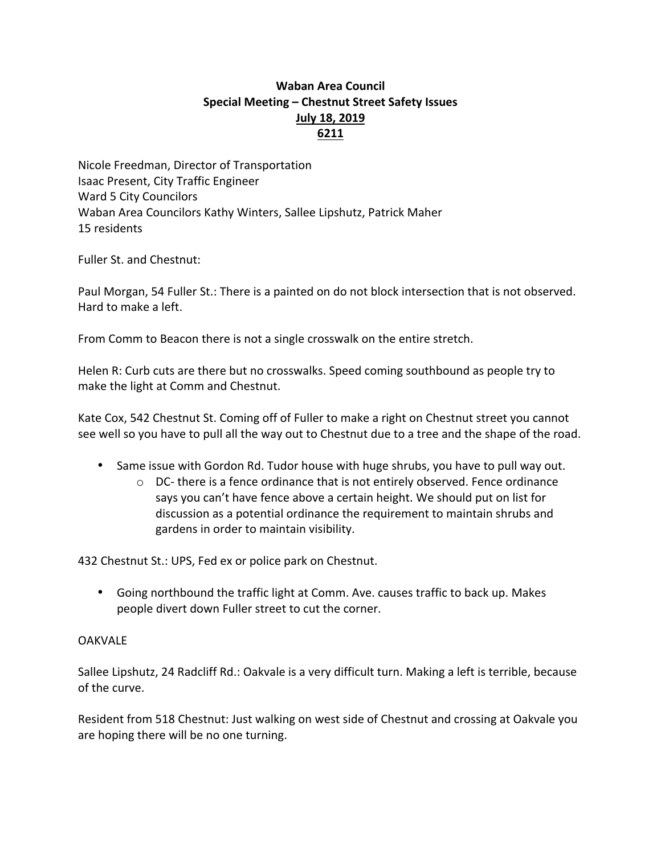## **Waban Area Council Special Meeting – Chestnut Street Safety Issues July 18, 2019 6211**

Nicole Freedman, Director of Transportation Isaac Present, City Traffic Engineer Ward 5 City Councilors Waban Area Councilors Kathy Winters, Sallee Lipshutz, Patrick Maher 15 residents

Fuller St. and Chestnut: 

Paul Morgan, 54 Fuller St.: There is a painted on do not block intersection that is not observed. Hard to make a left.

From Comm to Beacon there is not a single crosswalk on the entire stretch.

Helen R: Curb cuts are there but no crosswalks. Speed coming southbound as people try to make the light at Comm and Chestnut.

Kate Cox, 542 Chestnut St. Coming off of Fuller to make a right on Chestnut street you cannot see well so you have to pull all the way out to Chestnut due to a tree and the shape of the road.

- Same issue with Gordon Rd. Tudor house with huge shrubs, you have to pull way out.
	- $\circ$  DC- there is a fence ordinance that is not entirely observed. Fence ordinance says you can't have fence above a certain height. We should put on list for discussion as a potential ordinance the requirement to maintain shrubs and gardens in order to maintain visibility.

432 Chestnut St.: UPS, Fed ex or police park on Chestnut.

• Going northbound the traffic light at Comm. Ave. causes traffic to back up. Makes people divert down Fuller street to cut the corner.

## **OAKVALE**

Sallee Lipshutz, 24 Radcliff Rd.: Oakvale is a very difficult turn. Making a left is terrible, because of the curve.

Resident from 518 Chestnut: Just walking on west side of Chestnut and crossing at Oakvale you are hoping there will be no one turning.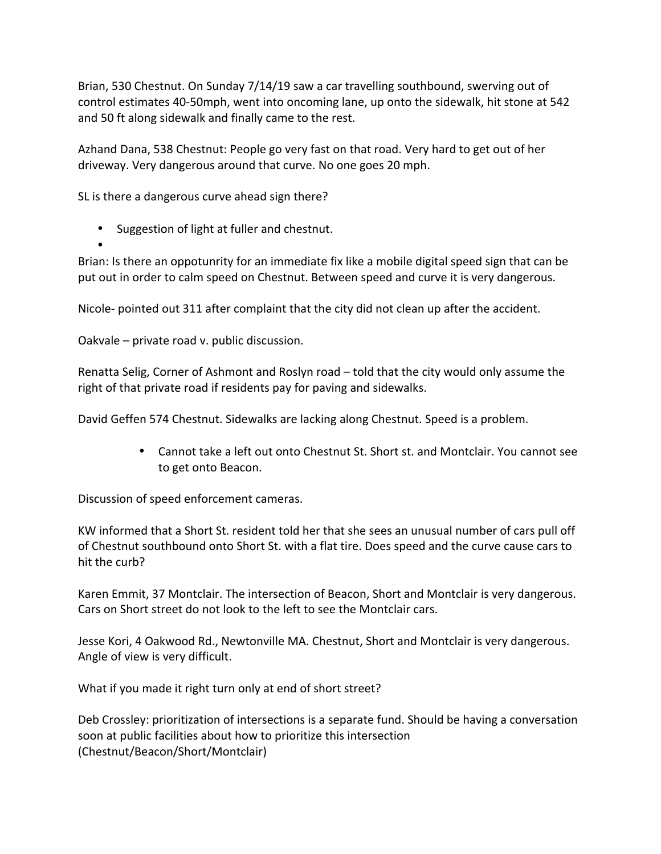Brian, 530 Chestnut. On Sunday 7/14/19 saw a car travelling southbound, swerving out of control estimates 40-50mph, went into oncoming lane, up onto the sidewalk, hit stone at 542 and 50 ft along sidewalk and finally came to the rest.

Azhand Dana, 538 Chestnut: People go very fast on that road. Very hard to get out of her driveway. Very dangerous around that curve. No one goes 20 mph.

SL is there a dangerous curve ahead sign there?

• Suggestion of light at fuller and chestnut.

• Brian: Is there an oppotunrity for an immediate fix like a mobile digital speed sign that can be put out in order to calm speed on Chestnut. Between speed and curve it is very dangerous.

Nicole- pointed out 311 after complaint that the city did not clean up after the accident.

Oakvale  $-$  private road v. public discussion.

Renatta Selig, Corner of Ashmont and Roslyn road – told that the city would only assume the right of that private road if residents pay for paving and sidewalks.

David Geffen 574 Chestnut. Sidewalks are lacking along Chestnut. Speed is a problem.

• Cannot take a left out onto Chestnut St. Short st. and Montclair. You cannot see to get onto Beacon.

Discussion of speed enforcement cameras.

KW informed that a Short St. resident told her that she sees an unusual number of cars pull off of Chestnut southbound onto Short St. with a flat tire. Does speed and the curve cause cars to hit the curb?

Karen Emmit, 37 Montclair. The intersection of Beacon, Short and Montclair is very dangerous. Cars on Short street do not look to the left to see the Montclair cars.

Jesse Kori, 4 Oakwood Rd., Newtonville MA. Chestnut, Short and Montclair is very dangerous. Angle of view is very difficult.

What if you made it right turn only at end of short street?

Deb Crossley: prioritization of intersections is a separate fund. Should be having a conversation soon at public facilities about how to prioritize this intersection (Chestnut/Beacon/Short/Montclair)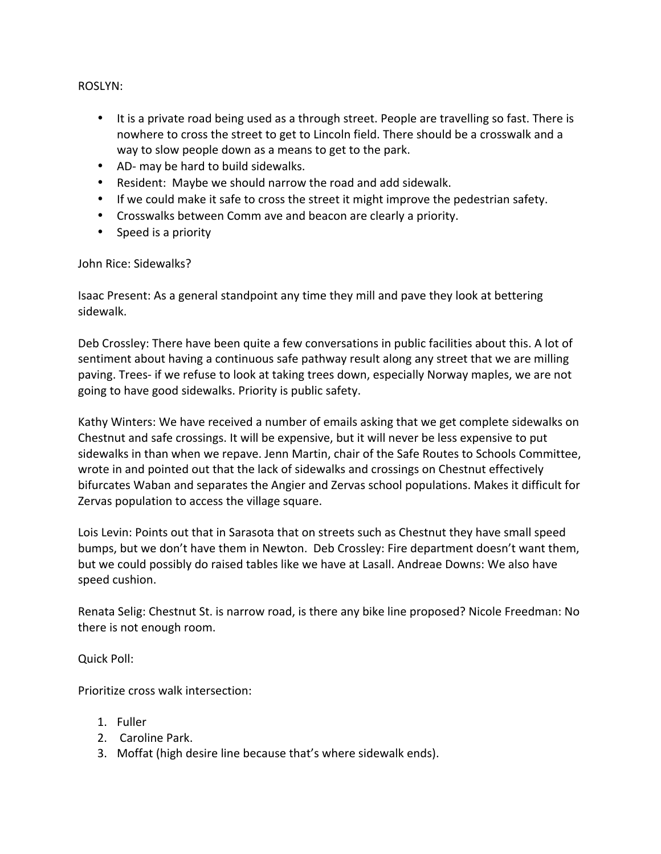ROSLYN: 

- It is a private road being used as a through street. People are travelling so fast. There is nowhere to cross the street to get to Lincoln field. There should be a crosswalk and a way to slow people down as a means to get to the park.
- AD- may be hard to build sidewalks.
- Resident: Maybe we should narrow the road and add sidewalk.
- If we could make it safe to cross the street it might improve the pedestrian safety.
- Crosswalks between Comm ave and beacon are clearly a priority.
- Speed is a priority

John Rice: Sidewalks?

Isaac Present: As a general standpoint any time they mill and pave they look at bettering sidewalk. 

Deb Crossley: There have been quite a few conversations in public facilities about this. A lot of sentiment about having a continuous safe pathway result along any street that we are milling paving. Trees- if we refuse to look at taking trees down, especially Norway maples, we are not going to have good sidewalks. Priority is public safety.

Kathy Winters: We have received a number of emails asking that we get complete sidewalks on Chestnut and safe crossings. It will be expensive, but it will never be less expensive to put sidewalks in than when we repave. Jenn Martin, chair of the Safe Routes to Schools Committee, wrote in and pointed out that the lack of sidewalks and crossings on Chestnut effectively bifurcates Waban and separates the Angier and Zervas school populations. Makes it difficult for Zervas population to access the village square.

Lois Levin: Points out that in Sarasota that on streets such as Chestnut they have small speed bumps, but we don't have them in Newton. Deb Crossley: Fire department doesn't want them, but we could possibly do raised tables like we have at Lasall. Andreae Downs: We also have speed cushion.

Renata Selig: Chestnut St. is narrow road, is there any bike line proposed? Nicole Freedman: No there is not enough room.

Quick Poll:

Prioritize cross walk intersection:

- 1. Fuller
- 2. Caroline Park.
- 3. Moffat (high desire line because that's where sidewalk ends).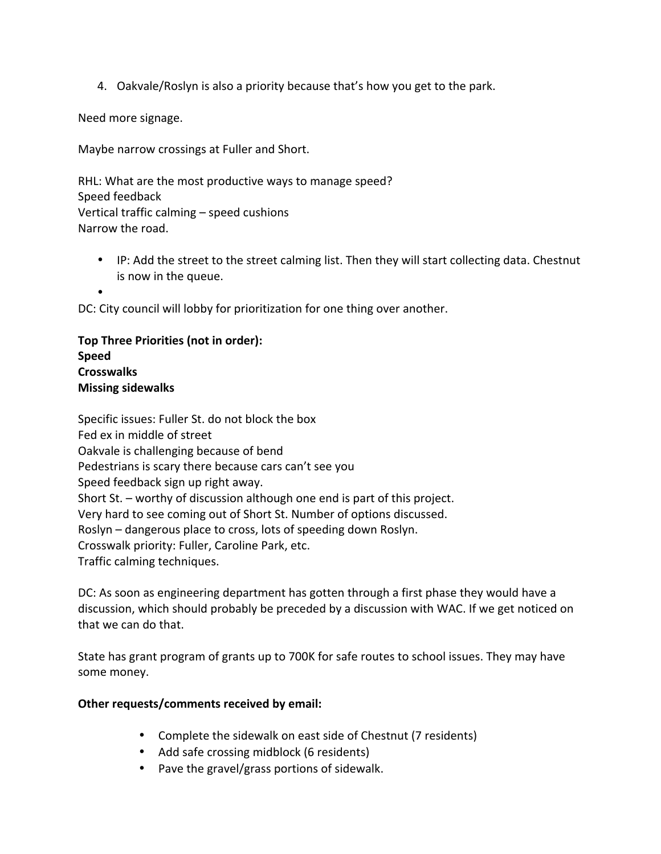4. Oakvale/Roslyn is also a priority because that's how you get to the park.

Need more signage.

Maybe narrow crossings at Fuller and Short.

RHL: What are the most productive ways to manage speed? Speed feedback Vertical traffic calming  $-$  speed cushions Narrow the road.

• IP: Add the street to the street calming list. Then they will start collecting data. Chestnut is now in the queue.

•

DC: City council will lobby for prioritization for one thing over another.

**Top Three Priorities (not in order): Speed Crosswalks Missing sidewalks**

Specific issues: Fuller St. do not block the box Fed ex in middle of street Oakvale is challenging because of bend Pedestrians is scary there because cars can't see you Speed feedback sign up right away. Short St. – worthy of discussion although one end is part of this project. Very hard to see coming out of Short St. Number of options discussed. Roslyn – dangerous place to cross, lots of speeding down Roslyn. Crosswalk priority: Fuller, Caroline Park, etc. Traffic calming techniques.

DC: As soon as engineering department has gotten through a first phase they would have a discussion, which should probably be preceded by a discussion with WAC. If we get noticed on that we can do that.

State has grant program of grants up to 700K for safe routes to school issues. They may have some money.

## **Other requests/comments received by email:**

- Complete the sidewalk on east side of Chestnut (7 residents)
- Add safe crossing midblock (6 residents)
- Pave the gravel/grass portions of sidewalk.